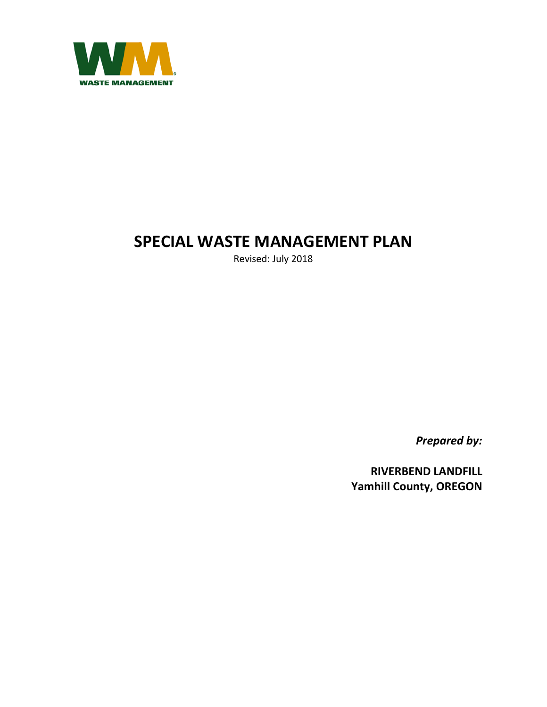

### **SPECIAL WASTE MANAGEMENT PLAN**

Revised: July 2018

*Prepared by:* 

**RIVERBEND LANDFILL Yamhill County, OREGON**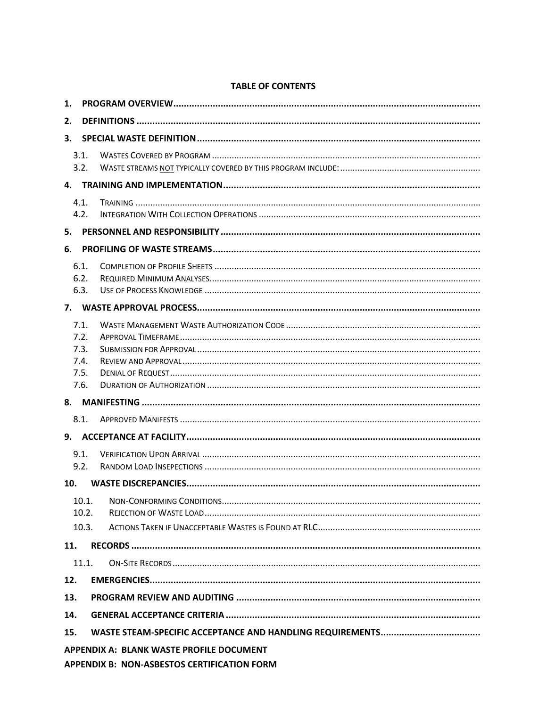#### $3.1.$  $3.2.$  $4.1.$  $4.2.$  $6.1.$  $6.2.$  $6.3.$  $7.1.$  $7.2.$  $7.3.$  $7.4.$  $7.5.$  $7.6.$  $8.1$  $9.1$  $9.2.$  $10.1.$  $10.2.$  $10.3.$ 11.  $11.1.$  $12.$  $13.$ 14. 15. **APPENDIX A: BLANK WASTE PROFILE DOCUMENT APPENDIX B: NON-ASBESTOS CERTIFICATION FORM**

#### **TABLE OF CONTENTS**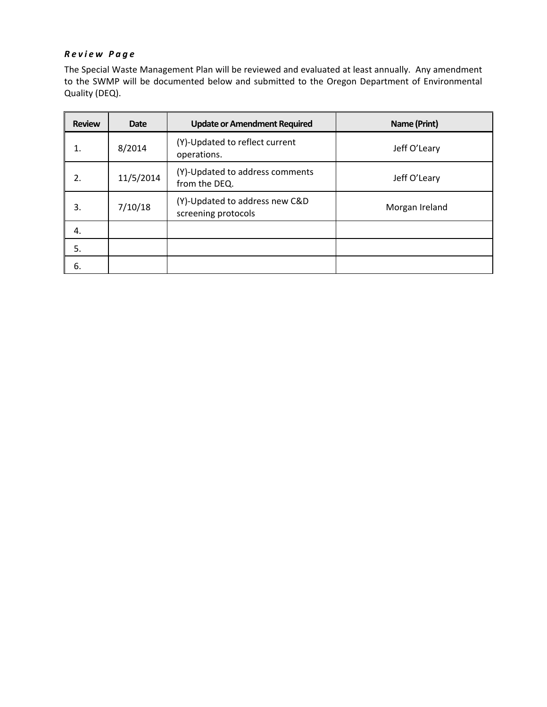#### *Review Page*

The Special Waste Management Plan will be reviewed and evaluated at least annually. Any amendment to the SWMP will be documented below and submitted to the Oregon Department of Environmental Quality (DEQ).

| <b>Review</b> | <b>Date</b> | <b>Update or Amendment Required</b>                   | Name (Print)   |
|---------------|-------------|-------------------------------------------------------|----------------|
| 1.            | 8/2014      | (Y)-Updated to reflect current<br>operations.         | Jeff O'Leary   |
| 2.            | 11/5/2014   | (Y)-Updated to address comments<br>from the DEQ.      | Jeff O'Leary   |
| 3.            | 7/10/18     | (Y)-Updated to address new C&D<br>screening protocols | Morgan Ireland |
| 4.            |             |                                                       |                |
| 5.            |             |                                                       |                |
| 6.            |             |                                                       |                |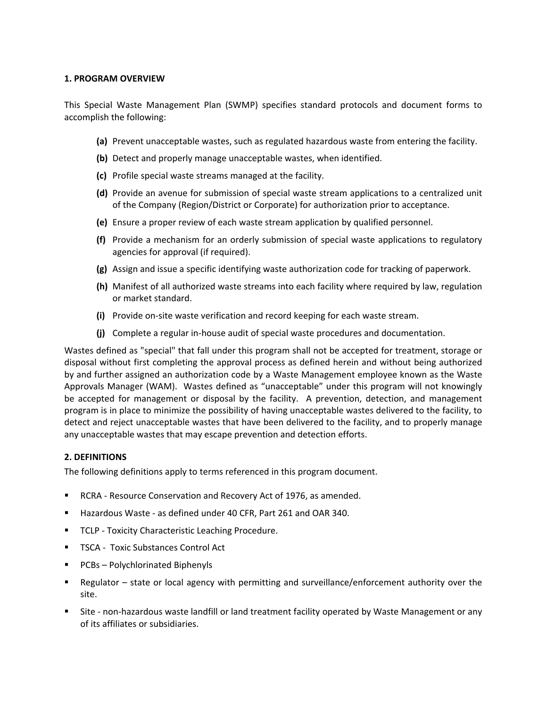#### **1. PROGRAM OVERVIEW**

This Special Waste Management Plan (SWMP) specifies standard protocols and document forms to accomplish the following:

- **(a)** Prevent unacceptable wastes, such as regulated hazardous waste from entering the facility.
- **(b)** Detect and properly manage unacceptable wastes, when identified.
- **(c)** Profile special waste streams managed at the facility.
- **(d)** Provide an avenue for submission of special waste stream applications to a centralized unit of the Company (Region/District or Corporate) for authorization prior to acceptance.
- **(e)** Ensure a proper review of each waste stream application by qualified personnel.
- **(f)** Provide a mechanism for an orderly submission of special waste applications to regulatory agencies for approval (if required).
- **(g)** Assign and issue a specific identifying waste authorization code for tracking of paperwork.
- **(h)** Manifest of all authorized waste streams into each facility where required by law, regulation or market standard.
- **(i)** Provide on‐site waste verification and record keeping for each waste stream.
- **(j)** Complete a regular in‐house audit of special waste procedures and documentation.

Wastes defined as "special" that fall under this program shall not be accepted for treatment, storage or disposal without first completing the approval process as defined herein and without being authorized by and further assigned an authorization code by a Waste Management employee known as the Waste Approvals Manager (WAM). Wastes defined as "unacceptable" under this program will not knowingly be accepted for management or disposal by the facility. A prevention, detection, and management program is in place to minimize the possibility of having unacceptable wastes delivered to the facility, to detect and reject unacceptable wastes that have been delivered to the facility, and to properly manage any unacceptable wastes that may escape prevention and detection efforts.

#### **2. DEFINITIONS**

The following definitions apply to terms referenced in this program document.

- RCRA Resource Conservation and Recovery Act of 1976, as amended.
- Hazardous Waste ‐ as defined under 40 CFR, Part 261 and OAR 340.
- **TCLP Toxicity Characteristic Leaching Procedure.**
- TSCA Toxic Substances Control Act
- **PCBs-Polychlorinated Biphenyls**
- Regulator state or local agency with permitting and surveillance/enforcement authority over the site.
- Site non-hazardous waste landfill or land treatment facility operated by Waste Management or any of its affiliates or subsidiaries.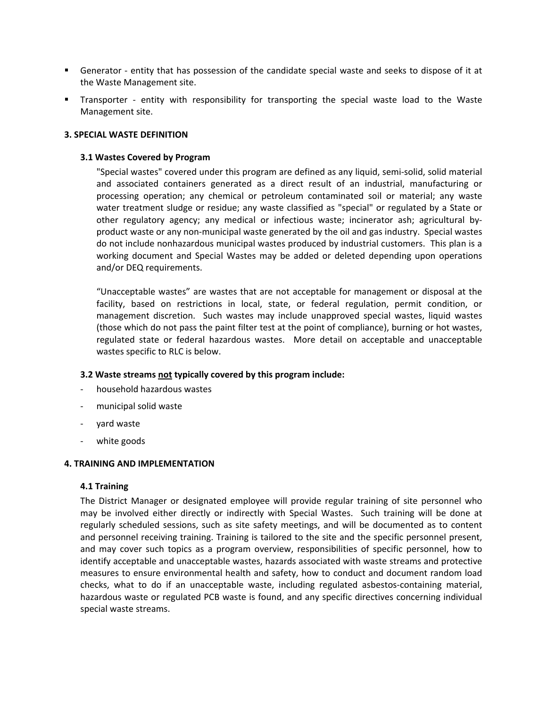- Generator entity that has possession of the candidate special waste and seeks to dispose of it at the Waste Management site.
- Transporter entity with responsibility for transporting the special waste load to the Waste Management site.

#### **3. SPECIAL WASTE DEFINITION**

#### **3.1 Wastes Covered by Program**

 "Special wastes" covered under this program are defined as any liquid, semi‐solid, solid material and associated containers generated as a direct result of an industrial, manufacturing or processing operation; any chemical or petroleum contaminated soil or material; any waste water treatment sludge or residue; any waste classified as "special" or regulated by a State or other regulatory agency; any medical or infectious waste; incinerator ash; agricultural byproduct waste or any non‐municipal waste generated by the oil and gas industry. Special wastes do not include nonhazardous municipal wastes produced by industrial customers. This plan is a working document and Special Wastes may be added or deleted depending upon operations and/or DEQ requirements.

"Unacceptable wastes" are wastes that are not acceptable for management or disposal at the facility, based on restrictions in local, state, or federal regulation, permit condition, or management discretion. Such wastes may include unapproved special wastes, liquid wastes (those which do not pass the paint filter test at the point of compliance), burning or hot wastes, regulated state or federal hazardous wastes. More detail on acceptable and unacceptable wastes specific to RLC is below.

#### **3.2 Waste streams not typically covered by this program include:**

- ‐ household hazardous wastes
- ‐ municipal solid waste
- ‐ yard waste
- white goods

#### **4. TRAINING AND IMPLEMENTATION**

#### **4.1 Training**

The District Manager or designated employee will provide regular training of site personnel who may be involved either directly or indirectly with Special Wastes. Such training will be done at regularly scheduled sessions, such as site safety meetings, and will be documented as to content and personnel receiving training. Training is tailored to the site and the specific personnel present, and may cover such topics as a program overview, responsibilities of specific personnel, how to identify acceptable and unacceptable wastes, hazards associated with waste streams and protective measures to ensure environmental health and safety, how to conduct and document random load checks, what to do if an unacceptable waste, including regulated asbestos‐containing material, hazardous waste or regulated PCB waste is found, and any specific directives concerning individual special waste streams.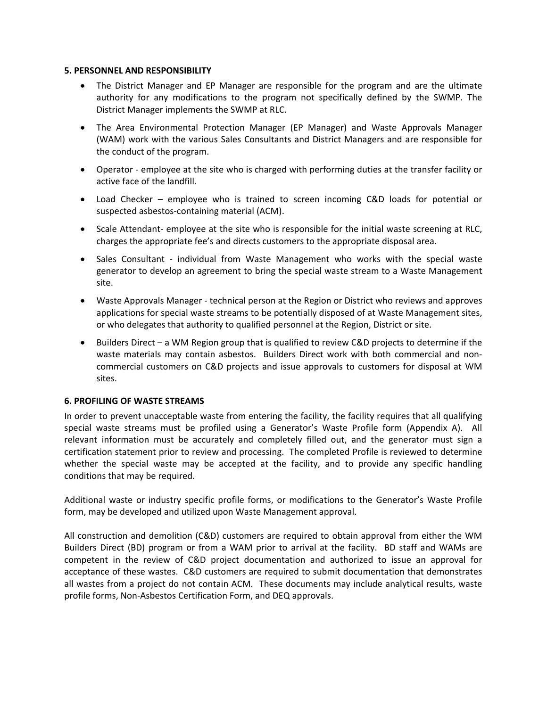#### **5. PERSONNEL AND RESPONSIBILITY**

- The District Manager and EP Manager are responsible for the program and are the ultimate authority for any modifications to the program not specifically defined by the SWMP. The District Manager implements the SWMP at RLC.
- The Area Environmental Protection Manager (EP Manager) and Waste Approvals Manager (WAM) work with the various Sales Consultants and District Managers and are responsible for the conduct of the program.
- Operator employee at the site who is charged with performing duties at the transfer facility or active face of the landfill.
- Load Checker employee who is trained to screen incoming C&D loads for potential or suspected asbestos‐containing material (ACM).
- Scale Attendant- employee at the site who is responsible for the initial waste screening at RLC, charges the appropriate fee's and directs customers to the appropriate disposal area.
- Sales Consultant individual from Waste Management who works with the special waste generator to develop an agreement to bring the special waste stream to a Waste Management site.
- Waste Approvals Manager ‐ technical person at the Region or District who reviews and approves applications for special waste streams to be potentially disposed of at Waste Management sites, or who delegates that authority to qualified personnel at the Region, District or site.
- Builders Direct a WM Region group that is qualified to review C&D projects to determine if the waste materials may contain asbestos. Builders Direct work with both commercial and noncommercial customers on C&D projects and issue approvals to customers for disposal at WM sites.

#### **6. PROFILING OF WASTE STREAMS**

In order to prevent unacceptable waste from entering the facility, the facility requires that all qualifying special waste streams must be profiled using a Generator's Waste Profile form (Appendix A). All relevant information must be accurately and completely filled out, and the generator must sign a certification statement prior to review and processing. The completed Profile is reviewed to determine whether the special waste may be accepted at the facility, and to provide any specific handling conditions that may be required.

Additional waste or industry specific profile forms, or modifications to the Generator's Waste Profile form, may be developed and utilized upon Waste Management approval.

All construction and demolition (C&D) customers are required to obtain approval from either the WM Builders Direct (BD) program or from a WAM prior to arrival at the facility. BD staff and WAMs are competent in the review of C&D project documentation and authorized to issue an approval for acceptance of these wastes. C&D customers are required to submit documentation that demonstrates all wastes from a project do not contain ACM. These documents may include analytical results, waste profile forms, Non‐Asbestos Certification Form, and DEQ approvals.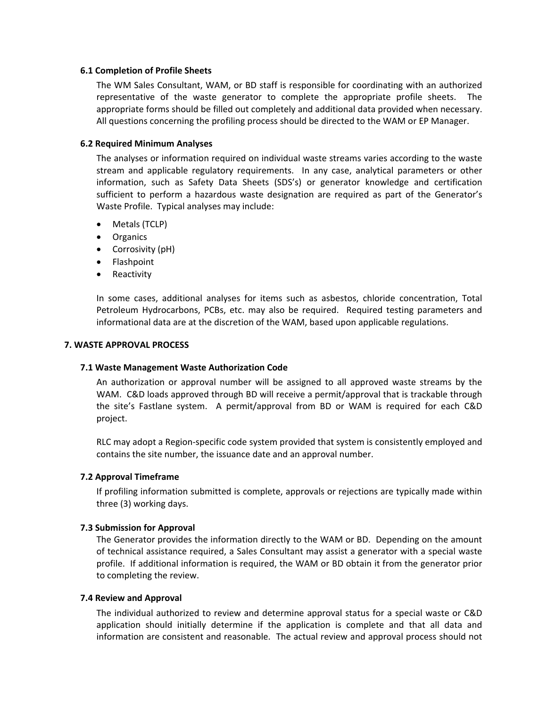#### **6.1 Completion of Profile Sheets**

The WM Sales Consultant, WAM, or BD staff is responsible for coordinating with an authorized representative of the waste generator to complete the appropriate profile sheets. The appropriate forms should be filled out completely and additional data provided when necessary. All questions concerning the profiling process should be directed to the WAM or EP Manager.

#### **6.2 Required Minimum Analyses**

The analyses or information required on individual waste streams varies according to the waste stream and applicable regulatory requirements. In any case, analytical parameters or other information, such as Safety Data Sheets (SDS's) or generator knowledge and certification sufficient to perform a hazardous waste designation are required as part of the Generator's Waste Profile. Typical analyses may include:

- Metals (TCLP)
- Organics
- Corrosivity (pH)
- Flashpoint
- Reactivity

In some cases, additional analyses for items such as asbestos, chloride concentration, Total Petroleum Hydrocarbons, PCBs, etc. may also be required. Required testing parameters and informational data are at the discretion of the WAM, based upon applicable regulations.

#### **7. WASTE APPROVAL PROCESS**

#### **7.1 Waste Management Waste Authorization Code**

An authorization or approval number will be assigned to all approved waste streams by the WAM. C&D loads approved through BD will receive a permit/approval that is trackable through the site's Fastlane system. A permit/approval from BD or WAM is required for each C&D project.

RLC may adopt a Region‐specific code system provided that system is consistently employed and contains the site number, the issuance date and an approval number.

#### **7.2 Approval Timeframe**

 If profiling information submitted is complete, approvals or rejections are typically made within three (3) working days.

#### **7.3 Submission for Approval**

The Generator provides the information directly to the WAM or BD. Depending on the amount of technical assistance required, a Sales Consultant may assist a generator with a special waste profile. If additional information is required, the WAM or BD obtain it from the generator prior to completing the review.

#### **7.4 Review and Approval**

 The individual authorized to review and determine approval status for a special waste or C&D application should initially determine if the application is complete and that all data and information are consistent and reasonable. The actual review and approval process should not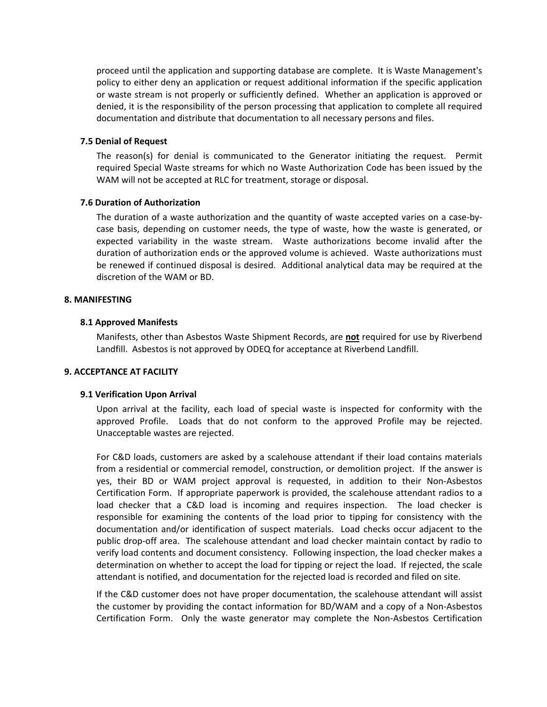proceed until the application and supporting database are complete. It is Waste Management's policy to either deny an application or request additional information if the specific application or waste stream is not properly or sufficiently defined. Whether an application is approved or denied, it is the responsibility of the person processing that application to complete all required documentation and distribute that documentation to all necessary persons and files.

#### **7.5 Denial of Request**

The reason(s) for denial is communicated to the Generator initiating the request. Permit required Special Waste streams for which no Waste Authorization Code has been issued by the WAM will not be accepted at RLC for treatment, storage or disposal.

#### **7.6 Duration of Authorization**

The duration of a waste authorization and the quantity of waste accepted varies on a case-bycase basis, depending on customer needs, the type of waste, how the waste is generated, or expected variability in the waste stream. Waste authorizations become invalid after the duration of authorization ends or the approved volume is achieved. Waste authorizations must be renewed if continued disposal is desired. Additional analytical data may be required at the discretion of the WAM or BD.

#### **8. MANIFESTING**

#### **8.1 Approved Manifests**

Manifests, other than Asbestos Waste Shipment Records, are **not** required for use by Riverbend Landfill. Asbestos is not approved by ODEQ for acceptance at Riverbend Landfill.

#### **9. ACCEPTANCE AT FACILITY**

#### **9.1 Verification Upon Arrival**

Upon arrival at the facility, each load of special waste is inspected for conformity with the approved Profile. Loads that do not conform to the approved Profile may be rejected. Unacceptable wastes are rejected.

For C&D loads, customers are asked by a scalehouse attendant if their load contains materials from a residential or commercial remodel, construction, or demolition project. If the answer is yes, their BD or WAM project approval is requested, in addition to their Non‐Asbestos Certification Form. If appropriate paperwork is provided, the scalehouse attendant radios to a load checker that a C&D load is incoming and requires inspection. The load checker is responsible for examining the contents of the load prior to tipping for consistency with the documentation and/or identification of suspect materials. Load checks occur adjacent to the public drop‐off area. The scalehouse attendant and load checker maintain contact by radio to verify load contents and document consistency. Following inspection, the load checker makes a determination on whether to accept the load for tipping or reject the load. If rejected, the scale attendant is notified, and documentation for the rejected load is recorded and filed on site.

If the C&D customer does not have proper documentation, the scalehouse attendant will assist the customer by providing the contact information for BD/WAM and a copy of a Non‐Asbestos Certification Form. Only the waste generator may complete the Non-Asbestos Certification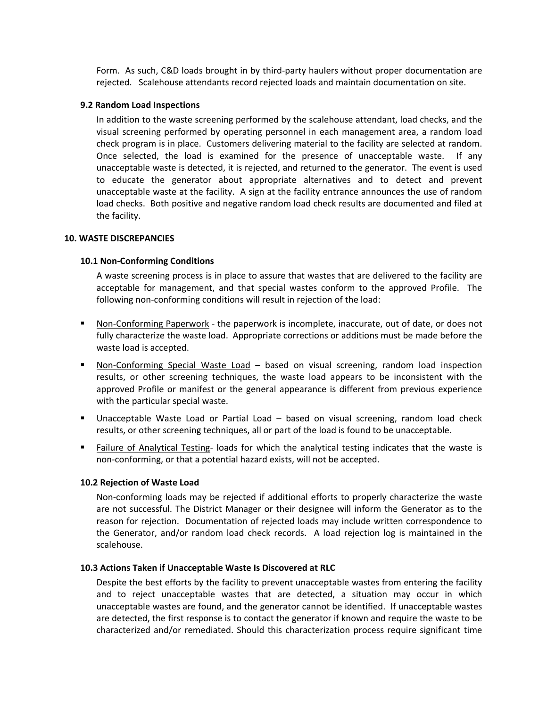Form. As such, C&D loads brought in by third‐party haulers without proper documentation are rejected. Scalehouse attendants record rejected loads and maintain documentation on site.

#### **9.2 Random Load Inspections**

In addition to the waste screening performed by the scalehouse attendant, load checks, and the visual screening performed by operating personnel in each management area, a random load check program is in place. Customers delivering material to the facility are selected at random. Once selected, the load is examined for the presence of unacceptable waste. If any unacceptable waste is detected, it is rejected, and returned to the generator. The event is used to educate the generator about appropriate alternatives and to detect and prevent unacceptable waste at the facility. A sign at the facility entrance announces the use of random load checks. Both positive and negative random load check results are documented and filed at the facility.

#### **10. WASTE DISCREPANCIES**

#### **10.1 Non‐Conforming Conditions**

A waste screening process is in place to assure that wastes that are delivered to the facility are acceptable for management, and that special wastes conform to the approved Profile. The following non-conforming conditions will result in rejection of the load:

- Non-Conforming Paperwork the paperwork is incomplete, inaccurate, out of date, or does not fully characterize the waste load. Appropriate corrections or additions must be made before the waste load is accepted.
- Non-Conforming Special Waste Load based on visual screening, random load inspection results, or other screening techniques, the waste load appears to be inconsistent with the approved Profile or manifest or the general appearance is different from previous experience with the particular special waste.
- **Unacceptable Waste Load or Partial Load based on visual screening, random load check** results, or other screening techniques, all or part of the load is found to be unacceptable.
- Failure of Analytical Testing- loads for which the analytical testing indicates that the waste is non‐conforming, or that a potential hazard exists, will not be accepted.

#### **10.2 Rejection of Waste Load**

Non‐conforming loads may be rejected if additional efforts to properly characterize the waste are not successful. The District Manager or their designee will inform the Generator as to the reason for rejection. Documentation of rejected loads may include written correspondence to the Generator, and/or random load check records. A load rejection log is maintained in the scalehouse.

#### **10.3 Actions Taken if Unacceptable Waste Is Discovered at RLC**

Despite the best efforts by the facility to prevent unacceptable wastes from entering the facility and to reject unacceptable wastes that are detected, a situation may occur in which unacceptable wastes are found, and the generator cannot be identified. If unacceptable wastes are detected, the first response is to contact the generator if known and require the waste to be characterized and/or remediated. Should this characterization process require significant time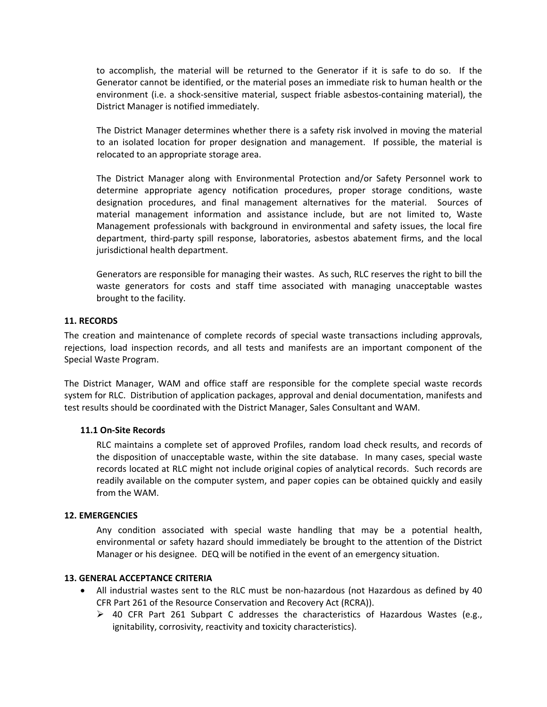to accomplish, the material will be returned to the Generator if it is safe to do so. If the Generator cannot be identified, or the material poses an immediate risk to human health or the environment (i.e. a shock-sensitive material, suspect friable asbestos-containing material), the District Manager is notified immediately.

The District Manager determines whether there is a safety risk involved in moving the material to an isolated location for proper designation and management. If possible, the material is relocated to an appropriate storage area.

The District Manager along with Environmental Protection and/or Safety Personnel work to determine appropriate agency notification procedures, proper storage conditions, waste designation procedures, and final management alternatives for the material. Sources of material management information and assistance include, but are not limited to, Waste Management professionals with background in environmental and safety issues, the local fire department, third‐party spill response, laboratories, asbestos abatement firms, and the local jurisdictional health department.

Generators are responsible for managing their wastes. As such, RLC reserves the right to bill the waste generators for costs and staff time associated with managing unacceptable wastes brought to the facility.

#### **11. RECORDS**

The creation and maintenance of complete records of special waste transactions including approvals, rejections, load inspection records, and all tests and manifests are an important component of the Special Waste Program.

The District Manager, WAM and office staff are responsible for the complete special waste records system for RLC. Distribution of application packages, approval and denial documentation, manifests and test results should be coordinated with the District Manager, Sales Consultant and WAM.

#### **11.1 On‐Site Records**

RLC maintains a complete set of approved Profiles, random load check results, and records of the disposition of unacceptable waste, within the site database. In many cases, special waste records located at RLC might not include original copies of analytical records. Such records are readily available on the computer system, and paper copies can be obtained quickly and easily from the WAM.

#### **12. EMERGENCIES**

Any condition associated with special waste handling that may be a potential health, environmental or safety hazard should immediately be brought to the attention of the District Manager or his designee. DEQ will be notified in the event of an emergency situation.

#### **13. GENERAL ACCEPTANCE CRITERIA**

- All industrial wastes sent to the RLC must be non-hazardous (not Hazardous as defined by 40 CFR Part 261 of the Resource Conservation and Recovery Act (RCRA)).
	- $\triangleright$  40 CFR Part 261 Subpart C addresses the characteristics of Hazardous Wastes (e.g., ignitability, corrosivity, reactivity and toxicity characteristics).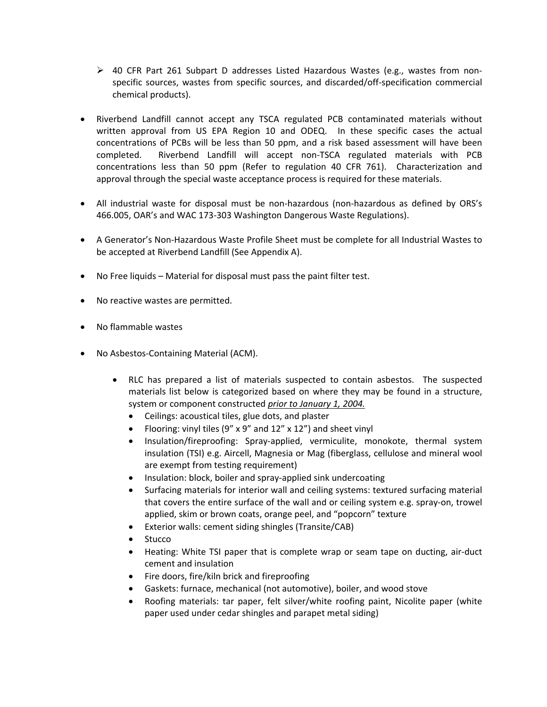- $\triangleright$  40 CFR Part 261 Subpart D addresses Listed Hazardous Wastes (e.g., wastes from nonspecific sources, wastes from specific sources, and discarded/off-specification commercial chemical products).
- Riverbend Landfill cannot accept any TSCA regulated PCB contaminated materials without written approval from US EPA Region 10 and ODEQ. In these specific cases the actual concentrations of PCBs will be less than 50 ppm, and a risk based assessment will have been completed. Riverbend Landfill will accept non-TSCA regulated materials with PCB concentrations less than 50 ppm (Refer to regulation 40 CFR 761). Characterization and approval through the special waste acceptance process is required for these materials.
- All industrial waste for disposal must be non‐hazardous (non‐hazardous as defined by ORS's 466.005, OAR's and WAC 173‐303 Washington Dangerous Waste Regulations).
- A Generator's Non-Hazardous Waste Profile Sheet must be complete for all Industrial Wastes to be accepted at Riverbend Landfill (See Appendix A).
- No Free liquids Material for disposal must pass the paint filter test.
- No reactive wastes are permitted.
- No flammable wastes
- No Asbestos-Containing Material (ACM).
	- RLC has prepared a list of materials suspected to contain asbestos. The suspected materials list below is categorized based on where they may be found in a structure, system or component constructed *prior to January 1, 2004.*
		- Ceilings: acoustical tiles, glue dots, and plaster
		- Flooring: vinyl tiles  $(9'' \times 9''$  and  $12'' \times 12'')$  and sheet vinyl
		- Insulation/fireproofing: Spray‐applied, vermiculite, monokote, thermal system insulation (TSI) e.g. Aircell, Magnesia or Mag (fiberglass, cellulose and mineral wool are exempt from testing requirement)
		- Insulation: block, boiler and spray-applied sink undercoating
		- Surfacing materials for interior wall and ceiling systems: textured surfacing material that covers the entire surface of the wall and or ceiling system e.g. spray‐on, trowel applied, skim or brown coats, orange peel, and "popcorn" texture
		- Exterior walls: cement siding shingles (Transite/CAB)
		- Stucco
		- Heating: White TSI paper that is complete wrap or seam tape on ducting, air-duct cement and insulation
		- Fire doors, fire/kiln brick and fireproofing
		- Gaskets: furnace, mechanical (not automotive), boiler, and wood stove
		- Roofing materials: tar paper, felt silver/white roofing paint, Nicolite paper (white paper used under cedar shingles and parapet metal siding)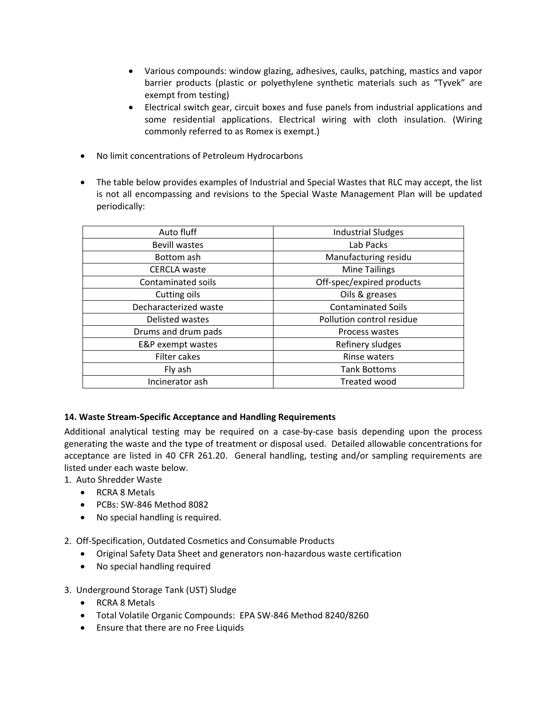- Various compounds: window glazing, adhesives, caulks, patching, mastics and vapor barrier products (plastic or polyethylene synthetic materials such as "Tyvek" are exempt from testing)
- Electrical switch gear, circuit boxes and fuse panels from industrial applications and some residential applications. Electrical wiring with cloth insulation. (Wiring commonly referred to as Romex is exempt.)
- No limit concentrations of Petroleum Hydrocarbons
- The table below provides examples of Industrial and Special Wastes that RLC may accept, the list is not all encompassing and revisions to the Special Waste Management Plan will be updated periodically:

| Auto fluff            | <b>Industrial Sludges</b> |
|-----------------------|---------------------------|
| <b>Bevill wastes</b>  | Lab Packs                 |
| Bottom ash            | Manufacturing residu      |
| <b>CERCLA</b> waste   | <b>Mine Tailings</b>      |
| Contaminated soils    | Off-spec/expired products |
| Cutting oils          | Oils & greases            |
| Decharacterized waste | <b>Contaminated Soils</b> |
| Delisted wastes       | Pollution control residue |
| Drums and drum pads   | Process wastes            |
| E&P exempt wastes     | Refinery sludges          |
| Filter cakes          | Rinse waters              |
| Fly ash               | <b>Tank Bottoms</b>       |
| Incinerator ash       | Treated wood              |

#### **14. Waste Stream‐Specific Acceptance and Handling Requirements**

Additional analytical testing may be required on a case‐by‐case basis depending upon the process generating the waste and the type of treatment or disposal used. Detailed allowable concentrations for acceptance are listed in 40 CFR 261.20. General handling, testing and/or sampling requirements are listed under each waste below.

1. Auto Shredder Waste

- RCRA 8 Metals
- PCBs: SW-846 Method 8082
- No special handling is required.
- 2. Off‐Specification, Outdated Cosmetics and Consumable Products
	- Original Safety Data Sheet and generators non-hazardous waste certification
	- No special handling required
- 3. Underground Storage Tank (UST) Sludge
	- RCRA 8 Metals
	- Total Volatile Organic Compounds: EPA SW‐846 Method 8240/8260
	- Ensure that there are no Free Liquids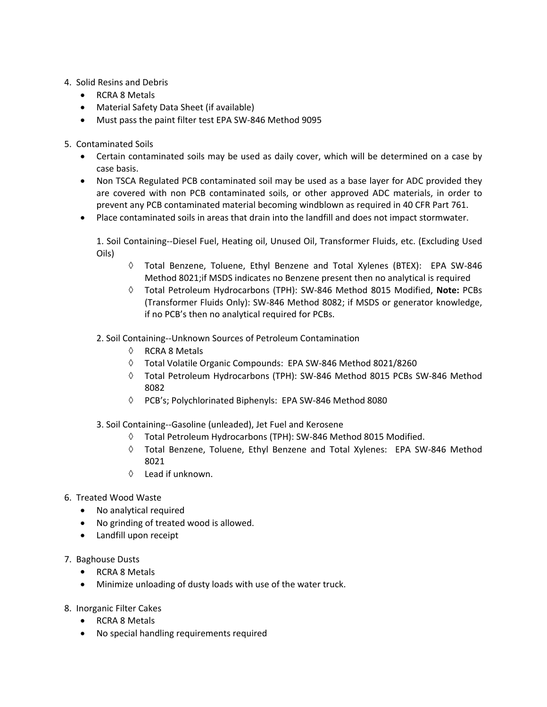- 4. Solid Resins and Debris
	- RCRA 8 Metals
	- Material Safety Data Sheet (if available)
	- Must pass the paint filter test EPA SW-846 Method 9095
- 5. Contaminated Soils
	- Certain contaminated soils may be used as daily cover, which will be determined on a case by case basis.
	- Non TSCA Regulated PCB contaminated soil may be used as a base layer for ADC provided they are covered with non PCB contaminated soils, or other approved ADC materials, in order to prevent any PCB contaminated material becoming windblown as required in 40 CFR Part 761.
	- Place contaminated soils in areas that drain into the landfill and does not impact stormwater.

1. Soil Containing‐‐Diesel Fuel, Heating oil, Unused Oil, Transformer Fluids, etc. (Excluding Used Oils)

- $\Diamond$  Total Benzene, Toluene, Ethyl Benzene and Total Xylenes (BTEX): EPA SW-846 Method 8021;if MSDS indicates no Benzene present then no analytical is required
- Total Petroleum Hydrocarbons (TPH): SW‐846 Method 8015 Modified, **Note:** PCBs (Transformer Fluids Only): SW‐846 Method 8082; if MSDS or generator knowledge, if no PCB's then no analytical required for PCBs.
- 2. Soil Containing‐‐Unknown Sources of Petroleum Contamination
	- $\Diamond$  RCRA 8 Metals
	- Total Volatile Organic Compounds: EPA SW‐846 Method 8021/8260
	- Total Petroleum Hydrocarbons (TPH): SW‐846 Method 8015 PCBs SW‐846 Method 8082
	- PCB's; Polychlorinated Biphenyls: EPA SW‐846 Method 8080
- 3. Soil Containing‐‐Gasoline (unleaded), Jet Fuel and Kerosene
	- Total Petroleum Hydrocarbons (TPH): SW‐846 Method 8015 Modified.
	- Total Benzene, Toluene, Ethyl Benzene and Total Xylenes: EPA SW‐846 Method 8021
	- $\Diamond$  Lead if unknown.
- 6. Treated Wood Waste
	- No analytical required
	- No grinding of treated wood is allowed.
	- Landfill upon receipt
- 7. Baghouse Dusts
	- RCRA 8 Metals
	- Minimize unloading of dusty loads with use of the water truck.
- 8. Inorganic Filter Cakes
	- RCRA 8 Metals
	- No special handling requirements required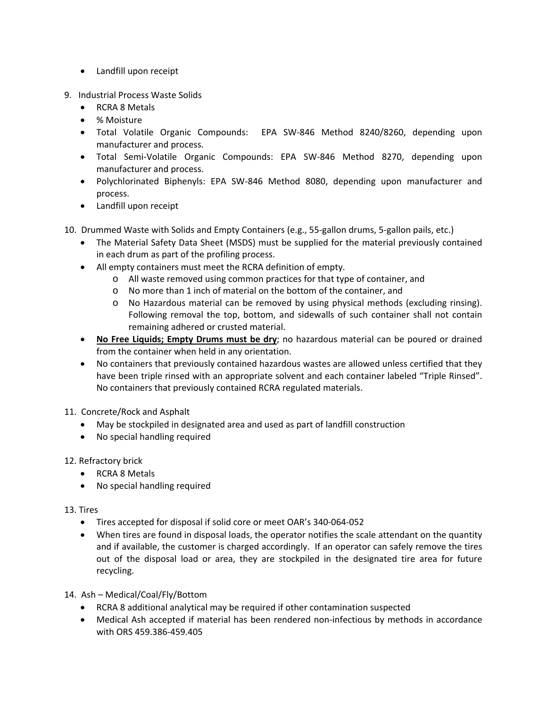- Landfill upon receipt
- 9. Industrial Process Waste Solids
	- RCRA 8 Metals
	- % Moisture
	- Total Volatile Organic Compounds: EPA SW‐846 Method 8240/8260, depending upon manufacturer and process.
	- Total Semi‐Volatile Organic Compounds: EPA SW‐846 Method 8270, depending upon manufacturer and process.
	- Polychlorinated Biphenyls: EPA SW-846 Method 8080, depending upon manufacturer and process.
	- Landfill upon receipt

10. Drummed Waste with Solids and Empty Containers (e.g., 55-gallon drums, 5-gallon pails, etc.)

- The Material Safety Data Sheet (MSDS) must be supplied for the material previously contained in each drum as part of the profiling process.
- All empty containers must meet the RCRA definition of empty.
	- o All waste removed using common practices for that type of container, and
	- o No more than 1 inch of material on the bottom of the container, and
	- o No Hazardous material can be removed by using physical methods (excluding rinsing). Following removal the top, bottom, and sidewalls of such container shall not contain remaining adhered or crusted material.
- **No Free Liquids; Empty Drums must be dry**; no hazardous material can be poured or drained from the container when held in any orientation.
- No containers that previously contained hazardous wastes are allowed unless certified that they have been triple rinsed with an appropriate solvent and each container labeled "Triple Rinsed". No containers that previously contained RCRA regulated materials.
- 11. Concrete/Rock and Asphalt
	- May be stockpiled in designated area and used as part of landfill construction
	- No special handling required

#### 12. Refractory brick

- RCRA 8 Metals
- No special handling required
- 13. Tires
	- Tires accepted for disposal if solid core or meet OAR's 340‐064‐052
	- When tires are found in disposal loads, the operator notifies the scale attendant on the quantity and if available, the customer is charged accordingly. If an operator can safely remove the tires out of the disposal load or area, they are stockpiled in the designated tire area for future recycling.
- 14. Ash Medical/Coal/Fly/Bottom
	- RCRA 8 additional analytical may be required if other contamination suspected
	- Medical Ash accepted if material has been rendered non-infectious by methods in accordance with ORS 459.386‐459.405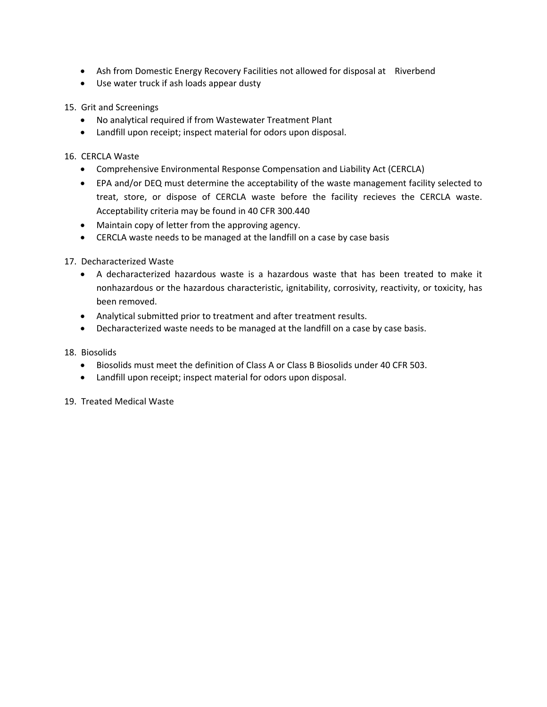- Ash from Domestic Energy Recovery Facilities not allowed for disposal at Riverbend
- Use water truck if ash loads appear dusty

15. Grit and Screenings

- No analytical required if from Wastewater Treatment Plant
- Landfill upon receipt; inspect material for odors upon disposal.

16. CERCLA Waste

- Comprehensive Environmental Response Compensation and Liability Act (CERCLA)
- EPA and/or DEQ must determine the acceptability of the waste management facility selected to treat, store, or dispose of CERCLA waste before the facility recieves the CERCLA waste. Acceptability criteria may be found in 40 CFR 300.440
- Maintain copy of letter from the approving agency.
- CERCLA waste needs to be managed at the landfill on a case by case basis

#### 17. Decharacterized Waste

- A decharacterized hazardous waste is a hazardous waste that has been treated to make it nonhazardous or the hazardous characteristic, ignitability, corrosivity, reactivity, or toxicity, has been removed.
- Analytical submitted prior to treatment and after treatment results.
- Decharacterized waste needs to be managed at the landfill on a case by case basis.
- 18. Biosolids
	- Biosolids must meet the definition of Class A or Class B Biosolids under 40 CFR 503.
	- Landfill upon receipt; inspect material for odors upon disposal.

19. Treated Medical Waste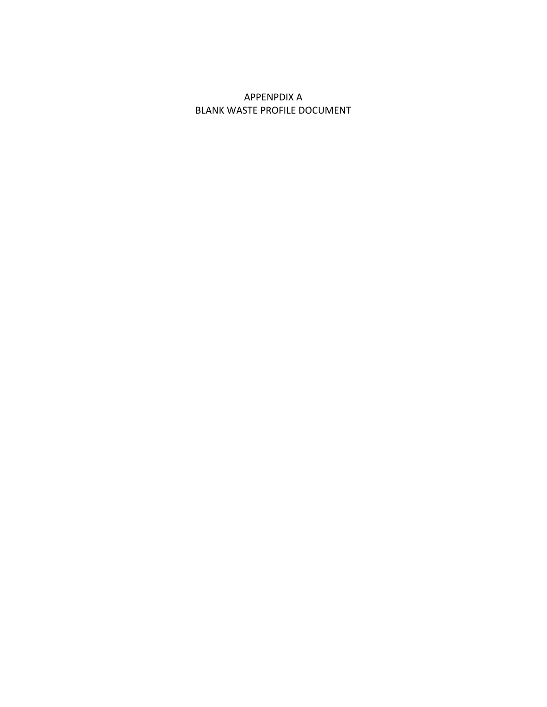### APPENPDIX A BLANK WASTE PROFILE DOCUMENT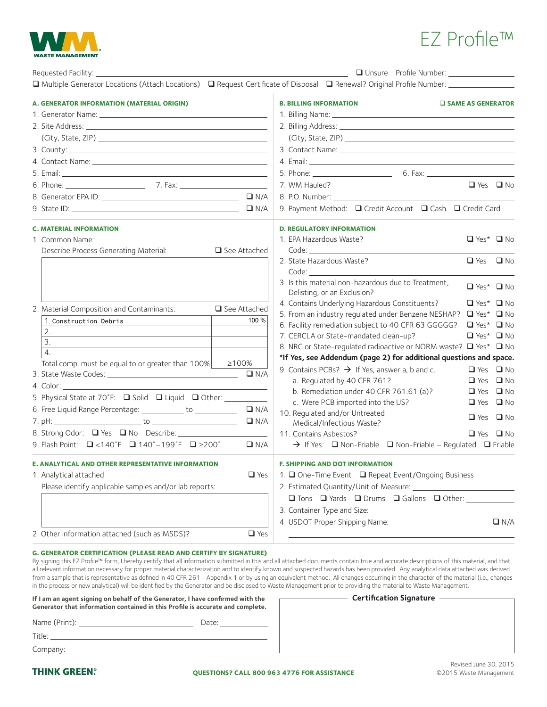# EZ Profile™

| Unsure Profile Number: ________________<br><b>Contract Contract Contract</b>                                                                                                                                                         |                                                                                                                                                                                                                                      |                            |            |
|--------------------------------------------------------------------------------------------------------------------------------------------------------------------------------------------------------------------------------------|--------------------------------------------------------------------------------------------------------------------------------------------------------------------------------------------------------------------------------------|----------------------------|------------|
| □ Multiple Generator Locations (Attach Locations) □ Request Certificate of Disposal □ Renewal? Original Profile Number: ______________                                                                                               |                                                                                                                                                                                                                                      |                            |            |
| A. GENERATOR INFORMATION (MATERIAL ORIGIN)                                                                                                                                                                                           | <b>B. BILLING INFORMATION</b>                                                                                                                                                                                                        | <b>U SAME AS GENERATOR</b> |            |
|                                                                                                                                                                                                                                      |                                                                                                                                                                                                                                      |                            |            |
|                                                                                                                                                                                                                                      |                                                                                                                                                                                                                                      |                            |            |
|                                                                                                                                                                                                                                      |                                                                                                                                                                                                                                      |                            |            |
|                                                                                                                                                                                                                                      |                                                                                                                                                                                                                                      |                            |            |
|                                                                                                                                                                                                                                      | 4. Email: <u>2008 - 2008 - 2008 - 2008 - 2008 - 2008 - 2008 - 2008 - 2008 - 2008 - 2008 - 2008 - 2008 - 2008 - 2008 - 2008 - 2008 - 2008 - 2008 - 2008 - 2008 - 2008 - 2008 - 2008 - 2008 - 2008 - 2008 - 2008 - 2008 - 2008 - 2</u> |                            |            |
|                                                                                                                                                                                                                                      |                                                                                                                                                                                                                                      |                            |            |
|                                                                                                                                                                                                                                      | 7. WM Hauled?                                                                                                                                                                                                                        | $\Box$ Yes $\Box$ No       |            |
|                                                                                                                                                                                                                                      | 8. P.O. Number: Electric Contract Contract Contract Contract Contract Contract Contract Contract Contract Contract Contract Contract Contract Contract Contract Contract Contract Contract Contract Contract Contract Contract       |                            |            |
|                                                                                                                                                                                                                                      | 9. Payment Method: □ Credit Account □ Cash □ Credit Card                                                                                                                                                                             |                            |            |
| <b>C. MATERIAL INFORMATION</b>                                                                                                                                                                                                       | <b>D. REGULATORY INFORMATION</b>                                                                                                                                                                                                     |                            |            |
| 1. Common Name: <u>common and the series of the series of the series of the series of the series of the series of the series of the series of the series of the series of the series of the series of the series of the series o</u> | 1. EPA Hazardous Waste?                                                                                                                                                                                                              | $\Box$ Yes* $\Box$ No      |            |
| Describe Process Generating Material:<br>$\Box$ See Attached                                                                                                                                                                         |                                                                                                                                                                                                                                      |                            |            |
|                                                                                                                                                                                                                                      | 2. State Hazardous Waste?                                                                                                                                                                                                            | $\Box$ Yes $\Box$ No       |            |
|                                                                                                                                                                                                                                      | Code: and the code:                                                                                                                                                                                                                  |                            |            |
|                                                                                                                                                                                                                                      | 3. Is this material non-hazardous due to Treatment,<br>Delisting, or an Exclusion?                                                                                                                                                   | $\Box$ Yes* $\Box$ No      |            |
|                                                                                                                                                                                                                                      | 4. Contains Underlying Hazardous Constituents?                                                                                                                                                                                       | $\Box$ Yes* $\Box$ No      |            |
| 2. Material Composition and Contaminants:<br>□ See Attached                                                                                                                                                                          | 5. From an industry requlated under Benzene NESHAP?                                                                                                                                                                                  | $\Box$ Yes* $\Box$ No      |            |
| 100 %<br>1. Construction Debris                                                                                                                                                                                                      | 6. Facility remediation subject to 40 CFR 63 GGGGG?                                                                                                                                                                                  | $\Box$ Yes* $\Box$ No      |            |
| 2.                                                                                                                                                                                                                                   | 7. CERCLA or State-mandated clean-up?                                                                                                                                                                                                | $\Box$ Yes* $\Box$ No      |            |
| 3.                                                                                                                                                                                                                                   | 8. NRC or State-regulated radioactive or NORM waste? ■ Yes* ■ No                                                                                                                                                                     |                            |            |
| 4.                                                                                                                                                                                                                                   | *If Yes, see Addendum (page 2) for additional questions and space.                                                                                                                                                                   |                            |            |
| Total comp. must be equal to or greater than 100%<br>≥100%<br>$\Box N/A$                                                                                                                                                             | 9. Contains PCBs? $\rightarrow$ If Yes, answer a, b and c.                                                                                                                                                                           | $\Box$ Yes $\Box$ No       |            |
|                                                                                                                                                                                                                                      | a. Regulated by 40 CFR 761?                                                                                                                                                                                                          | $\Box$ Yes $\Box$ No       |            |
| 5. Physical State at 70°F: <b>Q</b> Solid <b>Q</b> Liquid <b>Q</b> Other: ____                                                                                                                                                       | b. Remediation under 40 CFR 761.61 (a)?                                                                                                                                                                                              | $\Box$ Yes $\Box$ No       |            |
|                                                                                                                                                                                                                                      | c. Were PCB imported into the US?                                                                                                                                                                                                    | $\Box$ Yes $\Box$ No       |            |
| 6. Free Liquid Range Percentage: ____________ to ____________<br>$\Box N/A$                                                                                                                                                          | 10. Regulated and/or Untreated                                                                                                                                                                                                       | $\Box$ Yes $\Box$ No       |            |
| $\Box N/A$                                                                                                                                                                                                                           | Medical/Infectious Waste?                                                                                                                                                                                                            |                            |            |
| 8. Strong Odor: Q Yes Q No Describe: ________________                                                                                                                                                                                | 11. Contains Asbestos?                                                                                                                                                                                                               | $\Box$ Yes $\Box$ No       |            |
| 9. Flash Point: <b>Q</b> <140°F <b>Q</b> 140°-199°F <b>Q</b> ≥200°<br>$\Box N/A$                                                                                                                                                     | → If Yes: ■ Non-Friable ■ Non-Friable – Regulated ■ Friable                                                                                                                                                                          |                            |            |
| E. ANALYTICAL AND OTHER REPRESENTATIVE INFORMATION                                                                                                                                                                                   | <b>F. SHIPPING AND DOT INFORMATION</b>                                                                                                                                                                                               |                            |            |
| 1. Analytical attached<br>$\Box$ Yes                                                                                                                                                                                                 | 1. □ One-Time Event □ Repeat Event/Ongoing Business                                                                                                                                                                                  |                            |            |
| Please identify applicable samples and/or lab reports:                                                                                                                                                                               |                                                                                                                                                                                                                                      |                            |            |
|                                                                                                                                                                                                                                      | □ Tons □ Yards □ Drums □ Gallons □ Other: <u>Universe Section</u>                                                                                                                                                                    |                            |            |
|                                                                                                                                                                                                                                      |                                                                                                                                                                                                                                      |                            |            |
|                                                                                                                                                                                                                                      | 4. USDOT Proper Shipping Name:                                                                                                                                                                                                       |                            | $\Box N/A$ |
|                                                                                                                                                                                                                                      |                                                                                                                                                                                                                                      |                            |            |

#### **G. GENERATOR CERTIFICATION (PLEASE READ AND CERTIFY BY SIGNATURE)**

By signing this EZ Profile™ form, I hereby certify that all information submitted in this and all attached documents contain true and accurate descriptions of this material, and that all relevant information necessary for proper material characterization and to identify known and suspected hazards has been provided. Any analytical data attached was derived from a sample that is representative as defined in 40 CFR 261 - Appendix 1 or by using an equivalent method. All changes occurring in the character of the material (i.e., changes in the process or new analytical) will be identified by the Generator and be disclosed to Waste Management prior to providing the material to Waste Management.

| If I am an agent signing on behalf of the Generator, I have confirmed with the<br>Generator that information contained in this Profile is accurate and complete. |                       |  |
|------------------------------------------------------------------------------------------------------------------------------------------------------------------|-----------------------|--|
|                                                                                                                                                                  | Date: _______________ |  |
|                                                                                                                                                                  |                       |  |
|                                                                                                                                                                  |                       |  |

| <b>Certification Signature</b> |  |  |
|--------------------------------|--|--|
|                                |  |  |
|                                |  |  |
|                                |  |  |
|                                |  |  |
|                                |  |  |
|                                |  |  |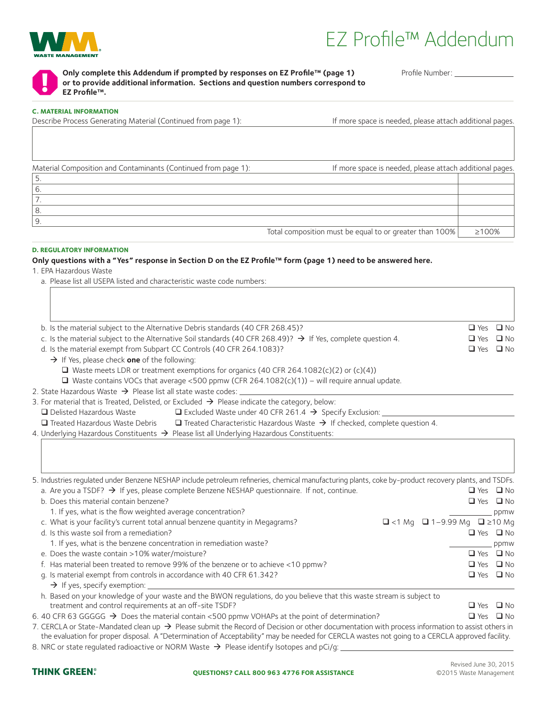

**!**

## EZ Profile™ Addendum

**Only complete this Addendum if prompted by responses on EZ Profile™ (page 1) or to provide additional information. Sections and question numbers correspond to EZ Profile™.**

Profile Number:

#### **C. MATERIAL INFORMATION**

Describe Process Generating Material (Continued from page 1): If more space is needed, please attach additional pages.

Material Composition and Contaminants (Continued from page 1): If more space is needed, please attach additional pages.

| Total composition must be equal to or greater than 100% | ≥100% |
|---------------------------------------------------------|-------|

#### **D. REGULATORY INFORMATION**

#### **Only questions with a "Yes" response in Section D on the EZ Profile™ form (page 1) need to be answered here.**

1. EPA Hazardous Waste

a. Please list all USEPA listed and characteristic waste code numbers:

| b. Is the material subject to the Alternative Debris standards (40 CFR 268.45)?                                                                                                                                                                                   | $\Box$ Yes $\Box$ No |              |
|-------------------------------------------------------------------------------------------------------------------------------------------------------------------------------------------------------------------------------------------------------------------|----------------------|--------------|
| c. Is the material subject to the Alternative Soil standards (40 CFR 268.49)? $\rightarrow$ If Yes, complete question 4.                                                                                                                                          | $\Box$ Yes           | $\square$ No |
| d. Is the material exempt from Subpart CC Controls (40 CFR 264.1083)?                                                                                                                                                                                             | $\Box$ Yes $\Box$ No |              |
| $\rightarrow$ If Yes, please check one of the following:                                                                                                                                                                                                          |                      |              |
| $\Box$ Waste meets LDR or treatment exemptions for organics (40 CFR 264.1082(c)(2) or (c)(4))                                                                                                                                                                     |                      |              |
| $\Box$ Waste contains VOCs that average <500 ppmw (CFR 264.1082(c)(1)) – will require annual update.                                                                                                                                                              |                      |              |
| 2. State Hazardous Waste $\rightarrow$ Please list all state waste codes: $\_$                                                                                                                                                                                    |                      |              |
| 3. For material that is Treated, Delisted, or Excluded $\rightarrow$ Please indicate the category, below:                                                                                                                                                         |                      |              |
| □ Delisted Hazardous Waste<br>$\Box$ Excluded Waste under 40 CFR 261.4 $\rightarrow$ Specify Exclusion: _____                                                                                                                                                     |                      |              |
| $\Box$ Treated Characteristic Hazardous Waste $\rightarrow$ If checked, complete question 4.<br>Treated Hazardous Waste Debris                                                                                                                                    |                      |              |
| 4. Underlying Hazardous Constituents $\rightarrow$ Please list all Underlying Hazardous Constituents:                                                                                                                                                             |                      |              |
| 5. Industries regulated under Benzene NESHAP include petroleum refineries, chemical manufacturing plants, coke by-product recovery plants, and TSDFs.<br>a. Are you a TSDF? $\rightarrow$ If yes, please complete Benzene NESHAP questionnaire. If not, continue. | $\Box$ Yes $\Box$ No |              |
| b. Does this material contain benzene?                                                                                                                                                                                                                            | $\Box$ Yes $\Box$ No |              |
| 1. If yes, what is the flow weighted average concentration?                                                                                                                                                                                                       |                      | ppmw         |
| c. What is your facility's current total annual benzene quantity in Megagrams?<br>□ <1 Mg □ 1-9.99 Mg □ ≥10 Mg                                                                                                                                                    |                      |              |
| d. Is this waste soil from a remediation?                                                                                                                                                                                                                         | $\Box$ Yes $\Box$ No |              |
| 1. If yes, what is the benzene concentration in remediation waste?                                                                                                                                                                                                |                      | ppmw         |
| e. Does the waste contain >10% water/moisture?                                                                                                                                                                                                                    | $\Box$ Yes $\Box$ No |              |
| f. Has material been treated to remove 99% of the benzene or to achieve <10 ppmw?                                                                                                                                                                                 | $\Box$ Yes $\Box$ No |              |
| q. Is material exempt from controls in accordance with 40 CFR 61.342?<br>$\rightarrow$ If yes, specify exemption:                                                                                                                                                 | $\Box$ Yes $\Box$ No |              |
| h. Based on your knowledge of your waste and the BWON regulations, do you believe that this waste stream is subject to                                                                                                                                            |                      |              |
| treatment and control requirements at an off-site TSDF?                                                                                                                                                                                                           | $\Box$ Yes $\Box$ No |              |
| 6. 40 CFR 63 GGGGG $\rightarrow$ Does the material contain <500 ppmw VOHAPs at the point of determination?                                                                                                                                                        | $\Box$ Yes $\Box$ No |              |
| 7. CERCLA or State-Mandated clean up $\rightarrow$ Please submit the Record of Decision or other documentation with process information to assist others in                                                                                                       |                      |              |

the evaluation for proper disposal. A "Determination of Acceptability" may be needed for CERCLA wastes not going to a CERCLA approved facility. 8. NRC or state regulated radioactive or NORM Waste  $\rightarrow$  Please identify Isotopes and pCi/g: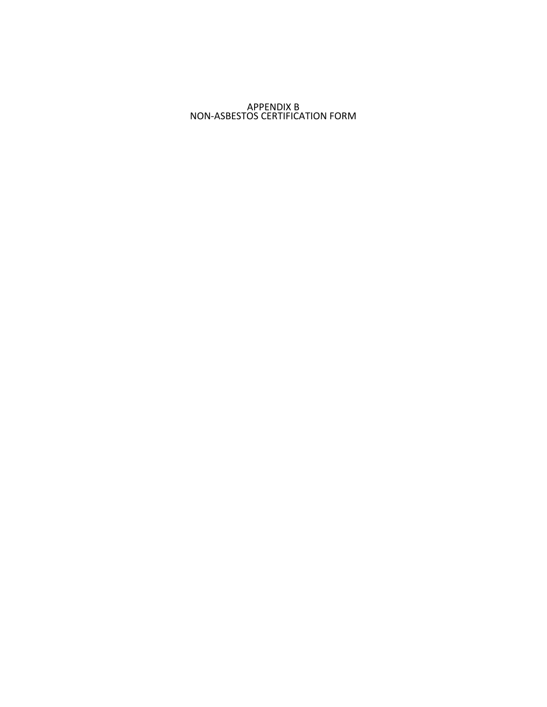#### APPENDIX B NON‐ASBESTOS CERTIFICATION FORM